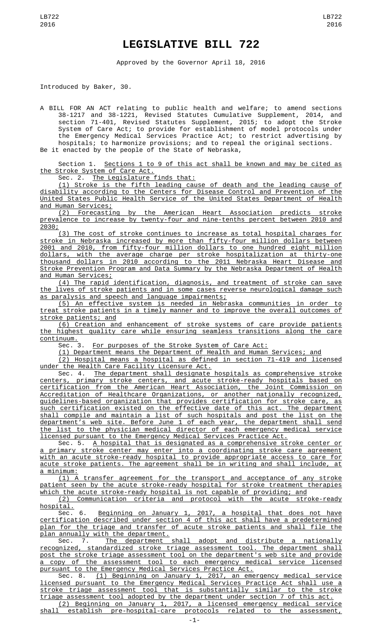## **LEGISLATIVE BILL 722**

Approved by the Governor April 18, 2016

Introduced by Baker, 30.

A BILL FOR AN ACT relating to public health and welfare; to amend sections 38-1217 and 38-1221, Revised Statutes Cumulative Supplement, 2014, and section 71-401, Revised Statutes Supplement, 2015; to adopt the Stroke System of Care Act; to provide for establishment of model protocols under the Emergency Medical Services Practice Act; to restrict advertising by hospitals; to harmonize provisions; and to repeal the original sections. Be it enacted by the people of the State of Nebraska,

Section 1. Sections 1 to 9 of this act shall be known and may be cited as the Stroke System of Care Act.

Sec. 2. The Legislature finds that:

(1) Stroke is the fifth leading cause of death and the leading cause of disability according to the Centers for Disease Control and Prevention of the United States Public Health Service of the United States Department of Health and Human Services;

(2) Forecasting by the American Heart Association predicts stroke prevalence to increase by twenty-four and nine-tenths percent between 2010 and 2030;

(3) The cost of stroke continues to increase as total hospital charges for stroke in Nebraska increased by more than fifty-four million dollars between 2001 and 2010, from fifty-four million dollars to one hundred eight million dollars, with the average charge per stroke hospitalization at thirty-one thousand dollars in 2010 according to the 2011 Nebraska Heart Disease and Stroke Prevention Program and Data Summary by the Nebraska Department of Health and Human Services;

(4) The rapid identification, diagnosis, and treatment of stroke can save the lives of stroke patients and in some cases reverse neurological damage such as paralysis and speech and language impairments;

(5) An effective system is needed in Nebraska communities in order to treat stroke patients in a timely manner and to improve the overall outcomes of stroke patients; and

(6) Creation and enhancement of stroke systems of care provide patients the highest quality care while ensuring seamless transitions along the care continuum.

Sec. 3. For purposes of the Stroke System of Care Act:

(1) Department means the Department of Health and Human Services; and

(2) Hospital means a hospital as defined in section 71-419 and licensed under the Health Care Facility Licensure Act.

Sec. 4. The department shall designate hospitals as comprehensive stroke centers, primary stroke centers, and acute stroke-ready hospitals based on certification from the American Heart Association, the Joint Commission on Accreditation of Healthcare Organizations, or another nationally recognized, guidelines-based organization that provides certification for stroke care, as such certification existed on the effective date of this act. The department shall compile and maintain a list of such hospitals and post the list on the department's web site. Before June 1 of each year, the department shall send the list to the physician medical director of each emergency medical service licensed pursuant to the Emergency Medical Services Practice Act.

Sec. 5. A hospital that is designated as a comprehensive stroke center or primary stroke center may enter into a coordinating stroke care agreement with an acute stroke-ready hospital to provide appropriate access to care for acute stroke patients. The agreement shall be in writing and shall include, at a minimum:

(1) A transfer agreement for the transport and acceptance of any stroke patient seen by the acute stroke-ready hospital for stroke treatment therapies which the acute stroke-ready hospital is not capable of providing; and

(2) Communication criteria and protocol with the acute stroke-ready hospital.

Sec. 6. Beginning on January 1, 2017, a hospital that does not have certification described under section 4 of this act shall have a predetermined plan for the triage and transfer of acute stroke patients and shall file the plan annually with the department.

Sec. 7. The department shall adopt and distribute a nationally recognized, standardized stroke triage assessment tool. The department shall post the stroke triage assessment tool on the department's web site and provide a copy of the assessment tool to each emergency medical service licensed pursuant to the Emergency Medical Services Practice Act.

Sec. 8. (1) Beginning on January 1, 2017, an emergency medical service licensed pursuant to the Emergency Medical Services Practice Act shall use a stroke triage assessment tool that is substantially similar to the stroke triage assessment tool adopted by the department under section 7 of this act.

(2) Beginning on January 1, 2017, a licensed emergency medical service shall establish pre-hospital-care protocols related to the assessment,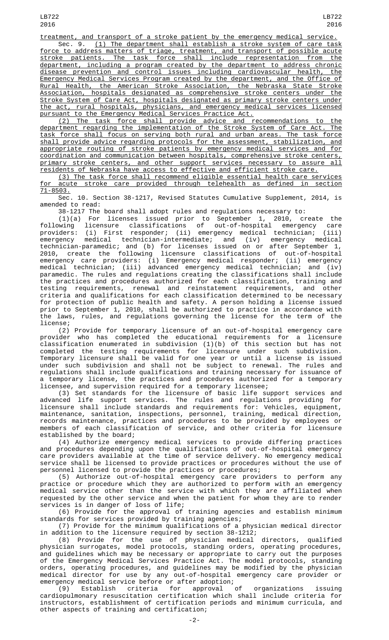treatment, and transport of a stroke patient by the emergency medical service. Sec. 9. (1) The department shall establish a stroke system of care task force to address matters of triage, treatment, and transport of possible acute stroke patients. The task force shall include representation from the department, including a program created by the department to address chronic disease prevention and control issues including cardiovascular health, the Emergency Medical Services Program created by the department, and the Office of Rural Health, the American Stroke Association, the Nebraska State Stroke Association, hospitals designated as comprehensive stroke centers under the Stroke System of Care Act, hospitals designated as primary stroke centers under the act, rural hospitals, physicians, and emergency medical services licensed pursuant to the Emergency Medical Services Practice Act.

(2) The task force shall provide advice and recommendations to the department regarding the implementation of the Stroke System of Care Act. The task force shall focus on serving both rural and urban areas. The task force shall provide advice regarding protocols for the assessment, stabilization, and appropriate routing of stroke patients by emergency medical services and for coordination and communication between hospitals, comprehensive stroke centers, primary stroke centers, and other support services necessary to assure all residents of Nebraska have access to effective and efficient stroke care.

(3) The task force shall recommend eligible essential health care services for acute stroke care provided through telehealth as defined in section 71-8503.

Sec. 10. Section 38-1217, Revised Statutes Cumulative Supplement, 2014, is amended to read:

38-1217 The board shall adopt rules and regulations necessary to:

(1)(a) For licenses issued prior to September 1, 2010, create the following licensure classifications of out-of-hospital emergency care providers: (i) First responder; (ii) emergency medical technician; (iii) emergency medical technician-intermediate; and (iv) emergency medical technician-paramedic; and (b) for licenses issued on or after September 1, 2010, create the following licensure classifications of out-of-hospital emergency care providers: (i) Emergency medical responder; (ii) emergency medical technician; (iii) advanced emergency medical technician; and (iv) paramedic. The rules and regulations creating the classifications shall include the practices and procedures authorized for each classification, training and testing requirements, renewal and reinstatement requirements, and other criteria and qualifications for each classification determined to be necessary for protection of public health and safety. A person holding a license issued prior to September 1, 2010, shall be authorized to practice in accordance with the laws, rules, and regulations governing the license for the term of the license;

(2) Provide for temporary licensure of an out-of-hospital emergency care provider who has completed the educational requirements for a licensure classification enumerated in subdivision (1)(b) of this section but has not completed the testing requirements for licensure under such subdivision. Temporary licensure shall be valid for one year or until a license is issued under such subdivision and shall not be subject to renewal. The rules and regulations shall include qualifications and training necessary for issuance of a temporary license, the practices and procedures authorized for a temporary licensee, and supervision required for a temporary licensee;

(3) Set standards for the licensure of basic life support services and advanced life support services. The rules and regulations providing for licensure shall include standards and requirements for: Vehicles, equipment, maintenance, sanitation, inspections, personnel, training, medical direction, records maintenance, practices and procedures to be provided by employees or members of each classification of service, and other criteria for licensure established by the board;

(4) Authorize emergency medical services to provide differing practices and procedures depending upon the qualifications of out-of-hospital emergency care providers available at the time of service delivery. No emergency medical service shall be licensed to provide practices or procedures without the use of personnel licensed to provide the practices or procedures;

(5) Authorize out-of-hospital emergency care providers to perform any practice or procedure which they are authorized to perform with an emergency medical service other than the service with which they are affiliated when requested by the other service and when the patient for whom they are to render services is in danger of loss of life;

(6) Provide for the approval of training agencies and establish minimum standards for services provided by training agencies;

(7) Provide for the minimum qualifications of a physician medical director in addition to the licensure required by section 38-1212;

(8) Provide for the use of physician medical directors, qualified physician surrogates, model protocols, standing orders, operating procedures, and guidelines which may be necessary or appropriate to carry out the purposes of the Emergency Medical Services Practice Act. The model protocols, standing orders, operating procedures, and guidelines may be modified by the physician medical director for use by any out-of-hospital emergency care provider or emergency medical service before or after adoption;

(9) Establish criteria for approval of organizations issuing cardiopulmonary resuscitation certification which shall include criteria for instructors, establishment of certification periods and minimum curricula, and other aspects of training and certification;